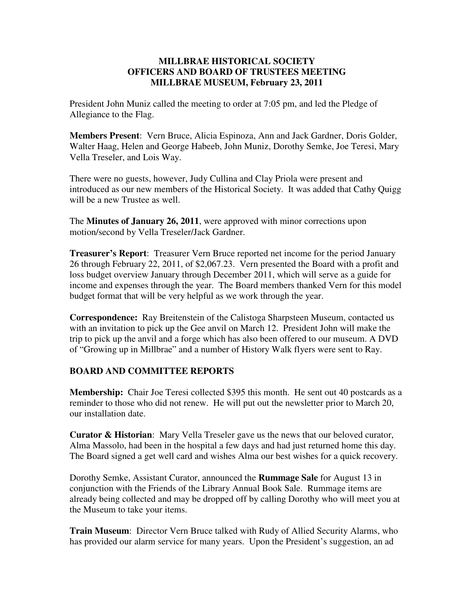## **MILLBRAE HISTORICAL SOCIETY OFFICERS AND BOARD OF TRUSTEES MEETING MILLBRAE MUSEUM, February 23, 2011**

President John Muniz called the meeting to order at 7:05 pm, and led the Pledge of Allegiance to the Flag.

**Members Present**: Vern Bruce, Alicia Espinoza, Ann and Jack Gardner, Doris Golder, Walter Haag, Helen and George Habeeb, John Muniz, Dorothy Semke, Joe Teresi, Mary Vella Treseler, and Lois Way.

There were no guests, however, Judy Cullina and Clay Priola were present and introduced as our new members of the Historical Society. It was added that Cathy Quigg will be a new Trustee as well.

The **Minutes of January 26, 2011**, were approved with minor corrections upon motion/second by Vella Treseler/Jack Gardner.

**Treasurer's Report**: Treasurer Vern Bruce reported net income for the period January 26 through February 22, 2011, of \$2,067.23. Vern presented the Board with a profit and loss budget overview January through December 2011, which will serve as a guide for income and expenses through the year. The Board members thanked Vern for this model budget format that will be very helpful as we work through the year.

**Correspondence:** Ray Breitenstein of the Calistoga Sharpsteen Museum, contacted us with an invitation to pick up the Gee anvil on March 12. President John will make the trip to pick up the anvil and a forge which has also been offered to our museum. A DVD of "Growing up in Millbrae" and a number of History Walk flyers were sent to Ray.

## **BOARD AND COMMITTEE REPORTS**

**Membership:** Chair Joe Teresi collected \$395 this month. He sent out 40 postcards as a reminder to those who did not renew. He will put out the newsletter prior to March 20, our installation date.

**Curator & Historian**: Mary Vella Treseler gave us the news that our beloved curator, Alma Massolo, had been in the hospital a few days and had just returned home this day. The Board signed a get well card and wishes Alma our best wishes for a quick recovery.

Dorothy Semke, Assistant Curator, announced the **Rummage Sale** for August 13 in conjunction with the Friends of the Library Annual Book Sale. Rummage items are already being collected and may be dropped off by calling Dorothy who will meet you at the Museum to take your items.

**Train Museum**: Director Vern Bruce talked with Rudy of Allied Security Alarms, who has provided our alarm service for many years. Upon the President's suggestion, an ad